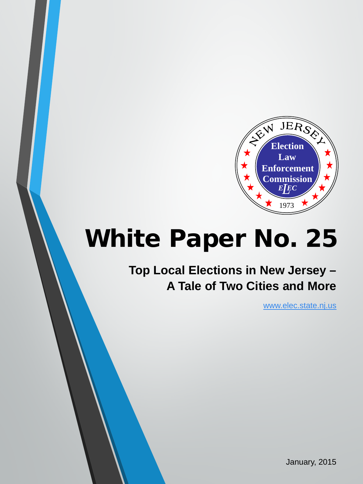

# White Paper No. 25

# **Top Local Elections in New Jersey – A Tale of Two Cities and More**

[www.elec.state.nj.us](http://www.elec.state.nj.us/)

January, 2015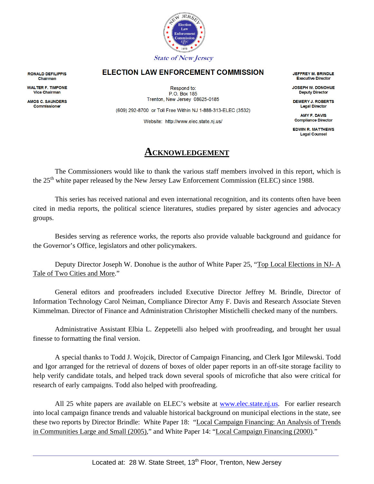

#### **ELECTION LAW ENFORCEMENT COMMISSION**

**RONALD DEFILIPPIS** Chairman

**WALTER F. TIMPONE Vice Chairman** 

**AMOS C. SAUNDERS** Commissioner

Respond to: P.O. Box 185 Trenton, New Jersey 08625-0185

(609) 292-8700 or Toll Free Within NJ 1-888-313-ELEC (3532)

Website: http://www.elec.state.nj.us/

### **ACKNOWLEDGEMENT**

The Commissioners would like to thank the various staff members involved in this report, which is the 25<sup>th</sup> white paper released by the New Jersey Law Enforcement Commission (ELEC) since 1988.

This series has received national and even international recognition, and its contents often have been cited in media reports, the political science literatures, studies prepared by sister agencies and advocacy groups.

Besides serving as reference works, the reports also provide valuable background and guidance for the Governor's Office, legislators and other policymakers.

Deputy Director Joseph W. Donohue is the author of White Paper 25, "Top Local Elections in NJ-  $\overline{A}$ Tale of Two Cities and More."

General editors and proofreaders included Executive Director Jeffrey M. Brindle, Director of Information Technology Carol Neiman, Compliance Director Amy F. Davis and Research Associate Steven Kimmelman. Director of Finance and Administration Christopher Mistichelli checked many of the numbers.

Administrative Assistant Elbia L. Zeppetelli also helped with proofreading, and brought her usual finesse to formatting the final version.

A special thanks to Todd J. Wojcik, Director of Campaign Financing, and Clerk Igor Milewski. Todd and Igor arranged for the retrieval of dozens of boxes of older paper reports in an off-site storage facility to help verify candidate totals, and helped track down several spools of microfiche that also were critical for research of early campaigns. Todd also helped with proofreading.

All 25 white papers are available on ELEC's website at [www.elec.state.nj.us.](http://www.elec.state.nj.us/) For earlier research into local campaign finance trends and valuable historical background on municipal elections in the state, see these two reports by Director Brindle: White Paper 18: "Local Campaign Financing: An Analysis of Trends in Communities Large and Small (2005)," and White Paper 14: "Local Campaign Financing (2000)."

**JEFFREY M. BRINDLE Executive Director** 

JOSEPH W. DONOHUE **Deputy Director** 

**DEMERY J. ROBERTS Legal Director** 

**AMY F. DAVIS Compliance Director** 

**EDWIN R. MATTHEWS Legal Counsel**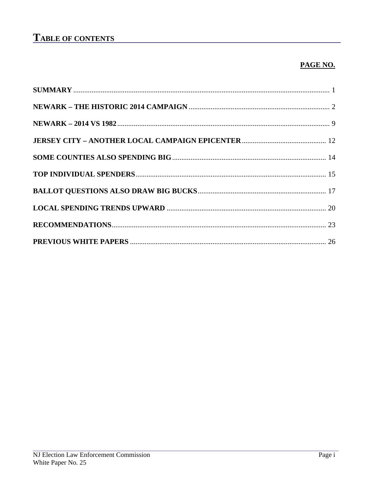# **TABLE OF CONTENTS**

### PAGE NO.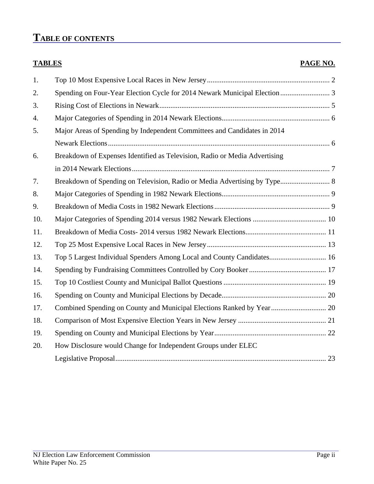# **TABLE OF CONTENTS**

| <b>TABLES</b> |                                                                            | PAGE NO. |
|---------------|----------------------------------------------------------------------------|----------|
| 1.            |                                                                            |          |
| 2.            | Spending on Four-Year Election Cycle for 2014 Newark Municipal Election  3 |          |
| 3.            |                                                                            |          |
| 4.            |                                                                            |          |
| 5.            | Major Areas of Spending by Independent Committees and Candidates in 2014   |          |
|               |                                                                            |          |
| 6.            | Breakdown of Expenses Identified as Television, Radio or Media Advertising |          |
|               |                                                                            |          |
| 7.            | Breakdown of Spending on Television, Radio or Media Advertising by Type 8  |          |
| 8.            |                                                                            |          |
| 9.            |                                                                            |          |
| 10.           |                                                                            |          |
| 11.           |                                                                            |          |
| 12.           |                                                                            |          |
| 13.           | Top 5 Largest Individual Spenders Among Local and County Candidates 16     |          |
| 14.           |                                                                            |          |
| 15.           |                                                                            |          |
| 16.           |                                                                            |          |
| 17.           | Combined Spending on County and Municipal Elections Ranked by Year 20      |          |
| 18.           |                                                                            |          |
| 19.           |                                                                            |          |
| 20.           | How Disclosure would Change for Independent Groups under ELEC              |          |
|               |                                                                            |          |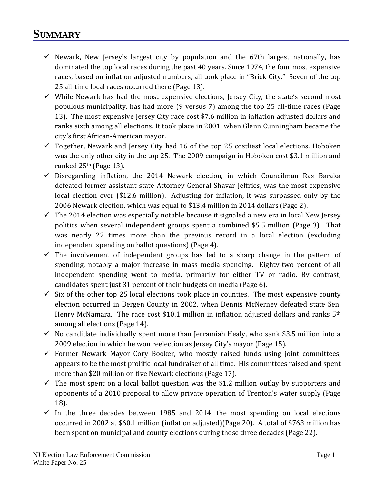# **SUMMARY**

- $\checkmark$  Newark, New Jersey's largest city by population and the 67th largest nationally, has dominated the top local races during the past 40 years. Since 1974, the four most expensive races, based on inflation adjusted numbers, all took place in "Brick City." Seven of the top 25 all-time local races occurred there (Page 13).
- $\checkmark$  While Newark has had the most expensive elections, Jersey City, the state's second most populous municipality, has had more (9 versus 7) among the top 25 all-time races (Page 13). The most expensive Jersey City race cost \$7.6 million in inflation adjusted dollars and ranks sixth among all elections. It took place in 2001, when Glenn Cunningham became the city's first African-American mayor.
- $\checkmark$  Together, Newark and Jersey City had 16 of the top 25 costliest local elections. Hoboken was the only other city in the top 25. The 2009 campaign in Hoboken cost \$3.1 million and ranked 25th (Page 13).
- $\checkmark$  Disregarding inflation, the 2014 Newark election, in which Councilman Ras Baraka defeated former assistant state Attorney General Shavar Jeffries, was the most expensive local election ever (\$12.6 million). Adjusting for inflation, it was surpassed only by the 2006 Newark election, which was equal to \$13.4 million in 2014 dollars (Page 2).
- $\checkmark$  The 2014 election was especially notable because it signaled a new era in local New Jersey politics when several independent groups spent a combined \$5.5 million (Page 3). That was nearly 22 times more than the previous record in a local election (excluding independent spending on ballot questions) (Page 4).
- $\checkmark$  The involvement of independent groups has led to a sharp change in the pattern of spending, notably a major increase in mass media spending. Eighty-two percent of all independent spending went to media, primarily for either TV or radio. By contrast, candidates spent just 31 percent of their budgets on media (Page 6).
- $\checkmark$  Six of the other top 25 local elections took place in counties. The most expensive county election occurred in Bergen County in 2002, when Dennis McNerney defeated state Sen. Henry McNamara. The race cost \$10.1 million in inflation adjusted dollars and ranks 5<sup>th</sup> among all elections (Page 14).
- $\checkmark$  No candidate individually spent more than Jerramiah Healy, who sank \$3.5 million into a 2009 election in which he won reelection as Jersey City's mayor (Page 15).
- $\checkmark$  Former Newark Mayor Cory Booker, who mostly raised funds using joint committees, appears to be the most prolific local fundraiser of all time. His committees raised and spent more than \$20 million on five Newark elections (Page 17).
- $\checkmark$  The most spent on a local ballot question was the \$1.2 million outlay by supporters and opponents of a 2010 proposal to allow private operation of Trenton's water supply (Page 18).
- $\checkmark$  In the three decades between 1985 and 2014, the most spending on local elections occurred in 2002 at \$60.1 million (inflation adjusted)(Page 20). A total of \$763 million has been spent on municipal and county elections during those three decades (Page 22).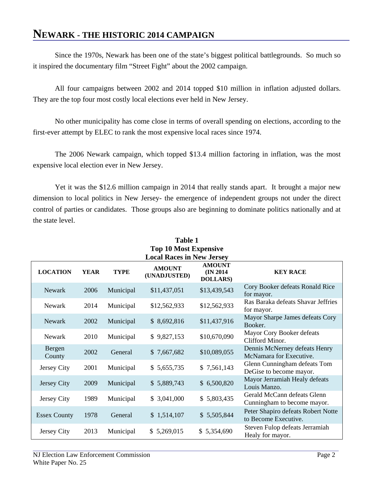### **NEWARK - THE HISTORIC 2014 CAMPAIGN**

Since the 1970s, Newark has been one of the state's biggest political battlegrounds. So much so it inspired the documentary film "Street Fight" about the 2002 campaign.

All four campaigns between 2002 and 2014 topped \$10 million in inflation adjusted dollars. They are the top four most costly local elections ever held in New Jersey.

No other municipality has come close in terms of overall spending on elections, according to the first-ever attempt by ELEC to rank the most expensive local races since 1974.

The 2006 Newark campaign, which topped \$13.4 million factoring in inflation, was the most expensive local election ever in New Jersey.

Yet it was the \$12.6 million campaign in 2014 that really stands apart. It brought a major new dimension to local politics in New Jersey- the emergence of independent groups not under the direct control of parties or candidates. Those groups also are beginning to dominate politics nationally and at the state level.

| <b>Table 1</b><br><b>Top 10 Most Expensive</b> |             |             |                                  |                                                |                                                            |  |
|------------------------------------------------|-------------|-------------|----------------------------------|------------------------------------------------|------------------------------------------------------------|--|
|                                                |             |             | <b>Local Races in New Jersey</b> |                                                |                                                            |  |
| <b>LOCATION</b>                                | <b>YEAR</b> | <b>TYPE</b> | <b>AMOUNT</b><br>(UNADJUSTED)    | <b>AMOUNT</b><br>(IN 2014)<br><b>DOLLARS</b> ) | <b>KEY RACE</b>                                            |  |
| <b>Newark</b>                                  | 2006        | Municipal   | \$11,437,051                     | \$13,439,543                                   | Cory Booker defeats Ronald Rice<br>for mayor.              |  |
| Newark                                         | 2014        | Municipal   | \$12,562,933                     | \$12,562,933                                   | Ras Baraka defeats Shavar Jeffries<br>for mayor.           |  |
| <b>Newark</b>                                  | 2002        | Municipal   | \$8,692,816                      | \$11,437,916                                   | Mayor Sharpe James defeats Cory<br>Booker.                 |  |
| Newark                                         | 2010        | Municipal   | \$9,827,153                      | \$10,670,090                                   | Mayor Cory Booker defeats<br>Clifford Minor.               |  |
| Bergen<br>County                               | 2002        | General     | \$7,667,682                      | \$10,089,055                                   | Dennis McNerney defeats Henry<br>McNamara for Executive.   |  |
| Jersey City                                    | 2001        | Municipal   | \$5,655,735                      | \$7,561,143                                    | Glenn Cunningham defeats Tom<br>DeGise to become mayor.    |  |
| Jersey City                                    | 2009        | Municipal   | \$5,889,743                      | \$6,500,820                                    | Mayor Jerramiah Healy defeats<br>Louis Manzo.              |  |
| Jersey City                                    | 1989        | Municipal   | \$3,041,000                      | \$5,803,435                                    | Gerald McCann defeats Glenn<br>Cunningham to become mayor. |  |
| <b>Essex County</b>                            | 1978        | General     | \$1,514,107                      | \$5,505,844                                    | Peter Shapiro defeats Robert Notte<br>to Become Executive. |  |
| Jersey City                                    | 2013        | Municipal   | \$5,269,015                      | \$5,354,690                                    | Steven Fulop defeats Jerramiah<br>Healy for mayor.         |  |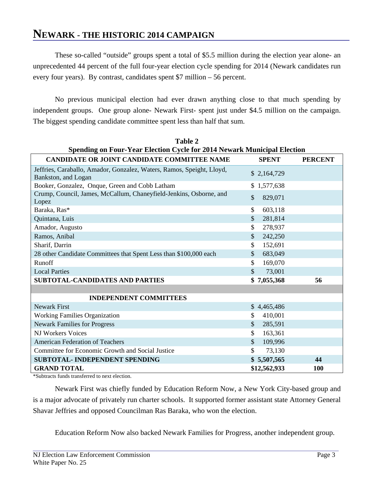### **NEWARK - THE HISTORIC 2014 CAMPAIGN**

These so-called "outside" groups spent a total of \$5.5 million during the election year alone- an unprecedented 44 percent of the full four-year election cycle spending for 2014 (Newark candidates run every four years). By contrast, candidates spent \$7 million – 56 percent.

No previous municipal election had ever drawn anything close to that much spending by independent groups. One group alone- Newark First- spent just under \$4.5 million on the campaign. The biggest spending candidate committee spent less than half that sum.

**Table 2**

| <b>Spending on Four-Year Election Cycle for 2014 Newark Municipal Election</b>               |                          |                |  |  |  |  |
|----------------------------------------------------------------------------------------------|--------------------------|----------------|--|--|--|--|
| <b>CANDIDATE OR JOINT CANDIDATE COMMITTEE NAME</b>                                           | <b>SPENT</b>             | <b>PERCENT</b> |  |  |  |  |
| Jeffries, Caraballo, Amador, Gonzalez, Waters, Ramos, Speight, Lloyd,<br>Bankston, and Logan | \$2,164,729              |                |  |  |  |  |
| Booker, Gonzalez, Onque, Green and Cobb Latham                                               | \$1,577,638              |                |  |  |  |  |
| Crump, Council, James, McCallum, Chaneyfield-Jenkins, Osborne, and<br>Lopez                  | \$<br>829,071            |                |  |  |  |  |
| Baraka, Ras*                                                                                 | 603,118<br>\$            |                |  |  |  |  |
| Quintana, Luis                                                                               | $\mathcal{S}$<br>281,814 |                |  |  |  |  |
| Amador, Augusto                                                                              | 278,937<br>\$            |                |  |  |  |  |
| Ramos, Anibal                                                                                | \$<br>242,250            |                |  |  |  |  |
| Sharif, Darrin                                                                               | 152,691<br>\$            |                |  |  |  |  |
| 28 other Candidate Committees that Spent Less than \$100,000 each                            | $\mathcal{S}$<br>683,049 |                |  |  |  |  |
| Runoff                                                                                       | \$<br>169,070            |                |  |  |  |  |
| <b>Local Parties</b>                                                                         | \$<br>73,001             |                |  |  |  |  |
| <b>SUBTOTAL-CANDIDATES AND PARTIES</b>                                                       | \$7,055,368              | 56             |  |  |  |  |
|                                                                                              |                          |                |  |  |  |  |
| <b>INDEPENDENT COMMITTEES</b>                                                                |                          |                |  |  |  |  |
| <b>Newark First</b>                                                                          | \$4,465,486              |                |  |  |  |  |
| <b>Working Families Organization</b>                                                         | \$<br>410,001            |                |  |  |  |  |
| <b>Newark Families for Progress</b>                                                          | $\mathcal{S}$<br>285,591 |                |  |  |  |  |
| NJ Workers Voices                                                                            | \$<br>163,361            |                |  |  |  |  |
| <b>American Federation of Teachers</b>                                                       | \$<br>109,996            |                |  |  |  |  |
| Committee for Economic Growth and Social Justice                                             | \$<br>73,130             |                |  |  |  |  |
| SUBTOTAL- INDEPENDENT SPENDING                                                               | \$5,507,565              | 44             |  |  |  |  |
| <b>GRAND TOTAL</b>                                                                           | \$12,562,933             | <b>100</b>     |  |  |  |  |

\*Subtracts funds transferred to next election.

Newark First was chiefly funded by Education Reform Now, a New York City-based group and is a major advocate of privately run charter schools. It supported former assistant state Attorney General Shavar Jeffries and opposed Councilman Ras Baraka, who won the election.

Education Reform Now also backed Newark Families for Progress, another independent group.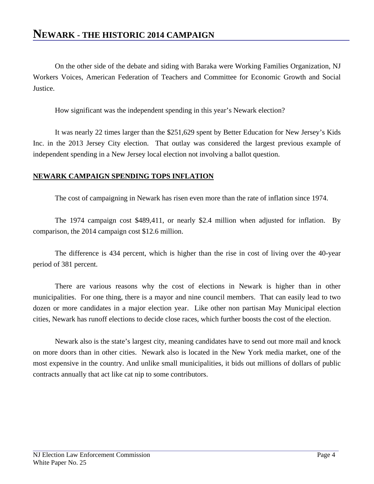On the other side of the debate and siding with Baraka were Working Families Organization, NJ Workers Voices, American Federation of Teachers and Committee for Economic Growth and Social Justice.

How significant was the independent spending in this year's Newark election?

It was nearly 22 times larger than the \$251,629 spent by Better Education for New Jersey's Kids Inc. in the 2013 Jersey City election. That outlay was considered the largest previous example of independent spending in a New Jersey local election not involving a ballot question.

### **NEWARK CAMPAIGN SPENDING TOPS INFLATION**

The cost of campaigning in Newark has risen even more than the rate of inflation since 1974.

The 1974 campaign cost \$489,411, or nearly \$2.4 million when adjusted for inflation. By comparison, the 2014 campaign cost \$12.6 million.

The difference is 434 percent, which is higher than the rise in cost of living over the 40-year period of 381 percent.

There are various reasons why the cost of elections in Newark is higher than in other municipalities. For one thing, there is a mayor and nine council members. That can easily lead to two dozen or more candidates in a major election year. Like other non partisan May Municipal election cities, Newark has runoff elections to decide close races, which further boosts the cost of the election.

Newark also is the state's largest city, meaning candidates have to send out more mail and knock on more doors than in other cities. Newark also is located in the New York media market, one of the most expensive in the country. And unlike small municipalities, it bids out millions of dollars of public contracts annually that act like cat nip to some contributors.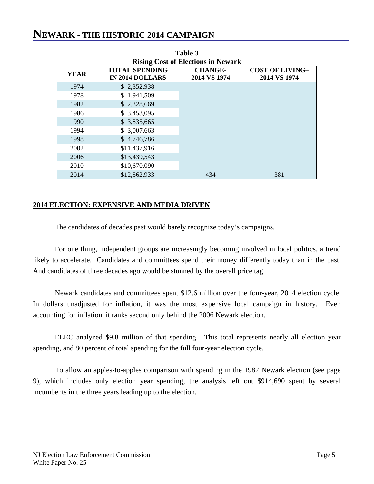### **NEWARK - THE HISTORIC 2014 CAMPAIGN**

|                                           |                                                 | 1 univ v                       |                                        |  |  |  |
|-------------------------------------------|-------------------------------------------------|--------------------------------|----------------------------------------|--|--|--|
| <b>Rising Cost of Elections in Newark</b> |                                                 |                                |                                        |  |  |  |
| <b>YEAR</b>                               | <b>TOTAL SPENDING</b><br><b>IN 2014 DOLLARS</b> | <b>CHANGE-</b><br>2014 VS 1974 | <b>COST OF LIVING-</b><br>2014 VS 1974 |  |  |  |
| 1974                                      | \$2,352,938                                     |                                |                                        |  |  |  |
| 1978                                      | \$1,941,509                                     |                                |                                        |  |  |  |
| 1982                                      | \$2,328,669                                     |                                |                                        |  |  |  |
| 1986                                      | \$3,453,095                                     |                                |                                        |  |  |  |
| 1990                                      | \$3,835,665                                     |                                |                                        |  |  |  |
| 1994                                      | \$3,007,663                                     |                                |                                        |  |  |  |
| 1998                                      | \$4,746,786                                     |                                |                                        |  |  |  |
| 2002                                      | \$11,437,916                                    |                                |                                        |  |  |  |
| 2006                                      | \$13,439,543                                    |                                |                                        |  |  |  |
| 2010                                      | \$10,670,090                                    |                                |                                        |  |  |  |
| 2014                                      | \$12,562,933                                    | 434                            | 381                                    |  |  |  |

**Table 3**

### **2014 ELECTION: EXPENSIVE AND MEDIA DRIVEN**

The candidates of decades past would barely recognize today's campaigns.

For one thing, independent groups are increasingly becoming involved in local politics, a trend likely to accelerate. Candidates and committees spend their money differently today than in the past. And candidates of three decades ago would be stunned by the overall price tag.

Newark candidates and committees spent \$12.6 million over the four-year, 2014 election cycle. In dollars unadjusted for inflation, it was the most expensive local campaign in history. Even accounting for inflation, it ranks second only behind the 2006 Newark election.

ELEC analyzed \$9.8 million of that spending. This total represents nearly all election year spending, and 80 percent of total spending for the full four-year election cycle.

To allow an apples-to-apples comparison with spending in the 1982 Newark election (see page 9), which includes only election year spending, the analysis left out \$914,690 spent by several incumbents in the three years leading up to the election.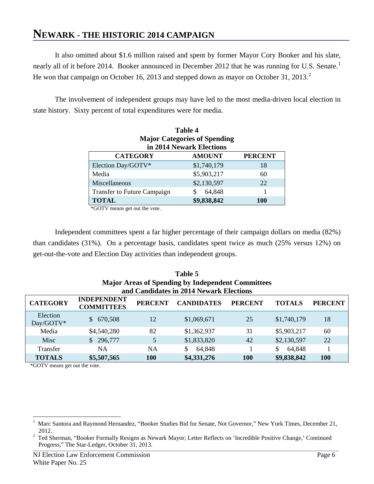# **NEWARK - THE HISTORIC 2014 CAMPAIGN**

It also omitted about \$1.6 million raised and spent by former Mayor Cory Booker and his slate, nearly all of it before 20[1](#page-9-0)4. Booker announced in December 2012 that he was running for U.S. Senate.<sup>1</sup> He won that campaign on October 16, [2](#page-9-1)013 and stepped down as mayor on October 31, 2013.<sup>2</sup>

The involvement of independent groups may have led to the most media-driven local election in state history. Sixty percent of total expenditures were for media.

| Table 4                                            |             |     |  |  |  |  |
|----------------------------------------------------|-------------|-----|--|--|--|--|
| <b>Major Categories of Spending</b>                |             |     |  |  |  |  |
| in 2014 Newark Elections                           |             |     |  |  |  |  |
| <b>PERCENT</b><br><b>CATEGORY</b><br><b>AMOUNT</b> |             |     |  |  |  |  |
| Election Day/GOTV*                                 | \$1,740,179 | 18  |  |  |  |  |
| Media                                              | \$5,903,217 | 60  |  |  |  |  |
| Miscellaneous                                      | \$2,130,597 | 22  |  |  |  |  |
| <b>Transfer to Future Campaign</b>                 | 64,848      |     |  |  |  |  |
| <b>TOTAL</b>                                       | \$9,838,842 | 100 |  |  |  |  |

\*GOTV means get out the vote.

Independent committees spent a far higher percentage of their campaign dollars on media (82%) than candidates (31%). On a percentage basis, candidates spent twice as much (25% versus 12%) on get-out-the-vote and Election Day activities than independent groups.

| Table 5<br><b>Major Areas of Spending by Independent Committees</b>                                                                                    |                                         |            |             |            |              |     |  |  |
|--------------------------------------------------------------------------------------------------------------------------------------------------------|-----------------------------------------|------------|-------------|------------|--------------|-----|--|--|
|                                                                                                                                                        | and Candidates in 2014 Newark Elections |            |             |            |              |     |  |  |
| <b>INDEPENDENT</b><br><b>CATEGORY</b><br><b>CANDIDATES</b><br><b>PERCENT</b><br><b>PERCENT</b><br><b>PERCENT</b><br><b>TOTALS</b><br><b>COMMITTEES</b> |                                         |            |             |            |              |     |  |  |
| Election<br>Day/GOTV*                                                                                                                                  | 670,508<br>S.                           | 12         | \$1,069,671 | 25         | \$1,740,179  | 18  |  |  |
| Media                                                                                                                                                  | \$4,540,280                             | 82         | \$1,362,937 | 31         | \$5,903,217  | 60  |  |  |
| Misc                                                                                                                                                   | \$296,777                               | 5          | \$1,833,820 | 42         | \$2,130,597  | 22  |  |  |
| <b>Transfer</b>                                                                                                                                        | <b>NA</b>                               | <b>NA</b>  | 64,848      |            | \$<br>64,848 |     |  |  |
| <b>TOTALS</b>                                                                                                                                          | \$5,507,565                             | <b>100</b> | \$4,331,276 | <b>100</b> | \$9,838,842  | 100 |  |  |

\*GOTV means get out the vote.

<span id="page-9-0"></span> $\frac{1}{1}$  $\mathbf{1}$ Marc Santora and Raymond Hernandez, "Booker Studies Bid for Senate, Not Governor," New York Times, December 21,

<span id="page-9-1"></span><sup>2012.&</sup>lt;br><sup>2</sup> Ted Sherman, "Booker Formally Resigns as Newark Mayor; Letter Reflects on 'Incredible Positive Change,' Continued Progress," The Star-Ledger, October 31, 2013.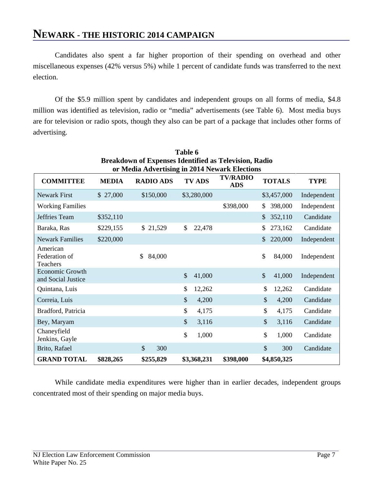Candidates also spent a far higher proportion of their spending on overhead and other miscellaneous expenses (42% versus 5%) while 1 percent of candidate funds was transferred to the next election.

Of the \$5.9 million spent by candidates and independent groups on all forms of media, \$4.8 million was identified as television, radio or "media" advertisements (see Table 6). Most media buys are for television or radio spots, though they also can be part of a package that includes other forms of advertising.

| Table 6<br><b>Breakdown of Expenses Identified as Television, Radio</b>                                                                                                                 |                                                                   |                      |                        |           |                         |             |  |  |  |
|-----------------------------------------------------------------------------------------------------------------------------------------------------------------------------------------|-------------------------------------------------------------------|----------------------|------------------------|-----------|-------------------------|-------------|--|--|--|
| or Media Advertising in 2014 Newark Elections<br><b>TV/RADIO</b><br><b>RADIO ADS</b><br><b>TV ADS</b><br><b>TOTALS</b><br><b>COMMITTEE</b><br><b>MEDIA</b><br><b>TYPE</b><br><b>ADS</b> |                                                                   |                      |                        |           |                         |             |  |  |  |
| Newark First                                                                                                                                                                            | \$27,000                                                          | \$150,000            | \$3,280,000            |           | \$3,457,000             | Independent |  |  |  |
| <b>Working Families</b>                                                                                                                                                                 |                                                                   |                      |                        | \$398,000 | 398,000<br>\$           | Independent |  |  |  |
| Jeffries Team                                                                                                                                                                           | \$352,110                                                         |                      |                        |           | 352,110<br>\$           | Candidate   |  |  |  |
| Baraka, Ras                                                                                                                                                                             | \$229,155                                                         | \$21,529             | \$<br>22,478           |           | \$<br>273,162           | Candidate   |  |  |  |
| <b>Newark Families</b>                                                                                                                                                                  | \$220,000                                                         |                      |                        |           | 220,000<br>$\mathbb{S}$ | Independent |  |  |  |
| American<br>Federation of<br>Teachers                                                                                                                                                   |                                                                   | \$<br>84,000         |                        |           | \$<br>84,000            | Independent |  |  |  |
| <b>Economic Growth</b><br>and Social Justice                                                                                                                                            |                                                                   |                      | \$<br>41,000           |           | \$<br>41,000            | Independent |  |  |  |
| Quintana, Luis                                                                                                                                                                          |                                                                   |                      | \$<br>12,262           |           | \$<br>12,262            | Candidate   |  |  |  |
| Correia, Luis                                                                                                                                                                           |                                                                   |                      | \$<br>4,200            |           | \$<br>4,200             | Candidate   |  |  |  |
| Bradford, Patricia                                                                                                                                                                      |                                                                   |                      | \$<br>4,175            |           | \$<br>4,175             | Candidate   |  |  |  |
| Bey, Maryam                                                                                                                                                                             |                                                                   |                      | \$<br>3,116            |           | \$<br>3,116             | Candidate   |  |  |  |
| Chaneyfield<br>Jenkins, Gayle                                                                                                                                                           |                                                                   |                      | $\mathcal{S}$<br>1,000 |           | \$<br>1,000             | Candidate   |  |  |  |
| Brito, Rafael                                                                                                                                                                           |                                                                   | $\mathcal{S}$<br>300 |                        |           | \$<br>300               | Candidate   |  |  |  |
| <b>GRAND TOTAL</b>                                                                                                                                                                      | \$255,829<br>\$398,000<br>\$4,850,325<br>\$828,265<br>\$3,368,231 |                      |                        |           |                         |             |  |  |  |

While candidate media expenditures were higher than in earlier decades, independent groups concentrated most of their spending on major media buys.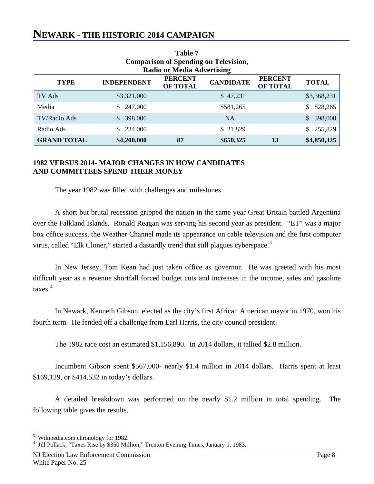### **NEWARK - THE HISTORIC 2014 CAMPAIGN**

| Table 7            |                                              |                                   |                  |                            |               |  |  |
|--------------------|----------------------------------------------|-----------------------------------|------------------|----------------------------|---------------|--|--|
|                    | <b>Comparison of Spending on Television,</b> |                                   |                  |                            |               |  |  |
|                    |                                              | <b>Radio or Media Advertising</b> |                  |                            |               |  |  |
| <b>TYPE</b>        | <b>INDEPENDENT</b>                           | <b>PERCENT</b><br><b>OF TOTAL</b> | <b>CANDIDATE</b> | <b>PERCENT</b><br>OF TOTAL | <b>TOTAL</b>  |  |  |
| TV Ads             | \$3,321,000                                  |                                   | \$47,231         |                            | \$3,368,231   |  |  |
| Media              | \$247,000                                    |                                   | \$581,265        |                            | 828,265<br>S. |  |  |
| TV/Radio Ads       | 398,000                                      |                                   | <b>NA</b>        |                            | 398,000<br>S. |  |  |
| Radio Ads          | 234,000<br>S.                                |                                   | \$21,829         |                            | 255,829<br>S. |  |  |
| <b>GRAND TOTAL</b> | \$4,200,000                                  | 87                                | \$650,325        | 13                         | \$4,850,325   |  |  |

### **1982 VERSUS 2014- MAJOR CHANGES IN HOW CANDIDATES AND COMMITTEES SPEND THEIR MONEY**

The year 1982 was filled with challenges and milestones.

A short but brutal recession gripped the nation in the same year Great Britain battled Argentina over the Falkland Islands. Ronald Reagan was serving his second year as president. "ET" was a major box office success, the Weather Channel made its appearance on cable television and the first computer virus, called "Elk Cloner," started a dastardly trend that still plagues cyberspace.<sup>[3](#page-11-0)</sup>

In New Jersey, Tom Kean had just taken office as governor. He was greeted with his most difficult year as a revenue shortfall forced budget cuts and increases in the income, sales and gasoline taxes.[4](#page-11-1)

In Newark, Kenneth Gibson, elected as the city's first African American mayor in 1970, won his fourth term. He fended off a challenge from Earl Harris, the city council president.

The 1982 race cost an estimated \$1,156,890. In 2014 dollars, it tallied \$2.8 million.

Incumbent Gibson spent \$567,000- nearly \$1.4 million in 2014 dollars. Harris spent at least \$169,129, or \$414,532 in today's dollars.

A detailed breakdown was performed on the nearly \$1.2 million in total spending. The following table gives the results.

<sup>&</sup>lt;sup>2</sup><br>3 Wikipedia.com chronology for 1982.

<span id="page-11-1"></span><span id="page-11-0"></span><sup>&</sup>lt;sup>4</sup> Jill Pollack, "Taxes Rise by \$350 Million," Trenton Evening Times, January 1, 1983.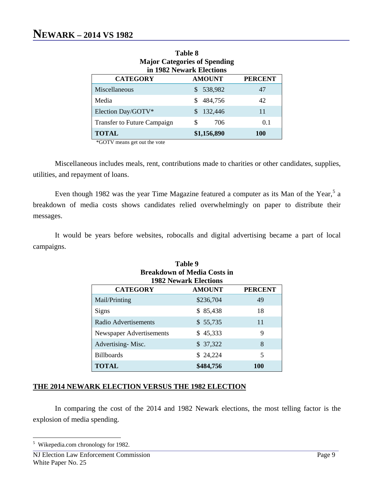| <b>Major Categories of Spending</b><br>in 1982 Newark Elections |           |     |  |  |  |  |  |
|-----------------------------------------------------------------|-----------|-----|--|--|--|--|--|
| <b>PERCENT</b><br><b>CATEGORY</b><br><b>AMOUNT</b>              |           |     |  |  |  |  |  |
| Miscellaneous                                                   | \$538,982 | 47  |  |  |  |  |  |
| Media                                                           | 484,756   | 42  |  |  |  |  |  |
| Election Day/GOTV*                                              | 132,446   | 11  |  |  |  |  |  |
| <b>Transfer to Future Campaign</b>                              | 706       | 0.1 |  |  |  |  |  |
| \$1,156,890<br><b>TOTAL</b><br>100                              |           |     |  |  |  |  |  |

**Table 8 Major Categories of Spending**

\*GOTV means get out the vote

Miscellaneous includes meals, rent, contributions made to charities or other candidates, supplies, utilities, and repayment of loans.

Even though 1982 was the year Time Magazine featured a computer as its Man of the Year,<sup>[5](#page-12-0)</sup> a breakdown of media costs shows candidates relied overwhelmingly on paper to distribute their messages.

It would be years before websites, robocalls and digital advertising became a part of local campaigns.

 $T - L1 - 0$ 

| гате у                                                             |           |     |  |  |  |  |
|--------------------------------------------------------------------|-----------|-----|--|--|--|--|
| <b>Breakdown of Media Costs in</b><br><b>1982 Newark Elections</b> |           |     |  |  |  |  |
| <b>CATEGORY</b><br><b>PERCENT</b><br><b>AMOUNT</b>                 |           |     |  |  |  |  |
| Mail/Printing                                                      | \$236,704 | 49  |  |  |  |  |
| Signs                                                              | \$85,438  | 18  |  |  |  |  |
| Radio Advertisements                                               | \$55,735  | 11  |  |  |  |  |
| Newspaper Advertisements                                           | \$45,333  | 9   |  |  |  |  |
| Advertising-Misc.                                                  | \$37,322  | 8   |  |  |  |  |
| <b>Billboards</b>                                                  | \$24,224  | 5   |  |  |  |  |
| <b>TOTAL</b>                                                       | \$484,756 | 100 |  |  |  |  |

### **THE 2014 NEWARK ELECTION VERSUS THE 1982 ELECTION**

In comparing the cost of the 2014 and 1982 Newark elections, the most telling factor is the explosion of media spending.

<span id="page-12-0"></span> <sup>5</sup> Wikepedia.com chronology for 1982.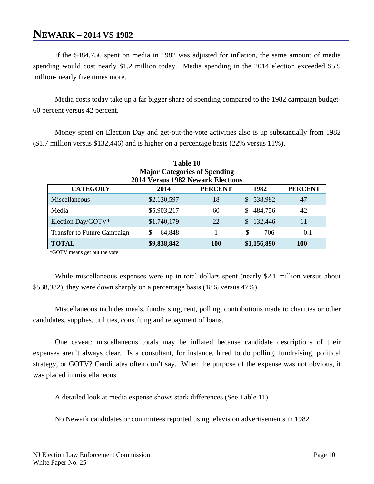### **NEWARK – 2014 VS 1982**

If the \$484,756 spent on media in 1982 was adjusted for inflation, the same amount of media spending would cost nearly \$1.2 million today. Media spending in the 2014 election exceeded \$5.9 million- nearly five times more.

Media costs today take up a far bigger share of spending compared to the 1982 campaign budget-60 percent versus 42 percent.

Money spent on Election Day and get-out-the-vote activities also is up substantially from 1982 (\$1.7 million versus \$132,446) and is higher on a percentage basis (22% versus 11%).

| Table 10                                                               |                                                        |    |                           |    |  |  |  |  |
|------------------------------------------------------------------------|--------------------------------------------------------|----|---------------------------|----|--|--|--|--|
| <b>Major Categories of Spending</b>                                    |                                                        |    |                           |    |  |  |  |  |
|                                                                        | 2014 Versus 1982 Newark Elections                      |    |                           |    |  |  |  |  |
| <b>CATEGORY</b><br><b>PERCENT</b><br>1982<br><b>PERCENT</b><br>2014    |                                                        |    |                           |    |  |  |  |  |
| Miscellaneous                                                          | \$2,130,597                                            | 18 | 538,982<br>$\mathbb{S}^-$ | 47 |  |  |  |  |
| Media                                                                  | \$5,903,217                                            | 60 | 484,756<br>\$.            | 42 |  |  |  |  |
| Election Day/GOTV*                                                     | \$1,740,179                                            | 22 | 132,446<br>\$.            | 11 |  |  |  |  |
| \$<br>706<br>0.1<br><b>Transfer to Future Campaign</b><br>64,848<br>\$ |                                                        |    |                           |    |  |  |  |  |
| <b>TOTAL</b>                                                           | \$9,838,842<br>\$1,156,890<br><b>100</b><br><b>100</b> |    |                           |    |  |  |  |  |

\*GOTV means get out the vote

While miscellaneous expenses were up in total dollars spent (nearly \$2.1 million versus about \$538,982), they were down sharply on a percentage basis (18% versus 47%).

Miscellaneous includes meals, fundraising, rent, polling, contributions made to charities or other candidates, supplies, utilities, consulting and repayment of loans.

One caveat: miscellaneous totals may be inflated because candidate descriptions of their expenses aren't always clear. Is a consultant, for instance, hired to do polling, fundraising, political strategy, or GOTV? Candidates often don't say. When the purpose of the expense was not obvious, it was placed in miscellaneous.

A detailed look at media expense shows stark differences (See Table 11).

No Newark candidates or committees reported using television advertisements in 1982.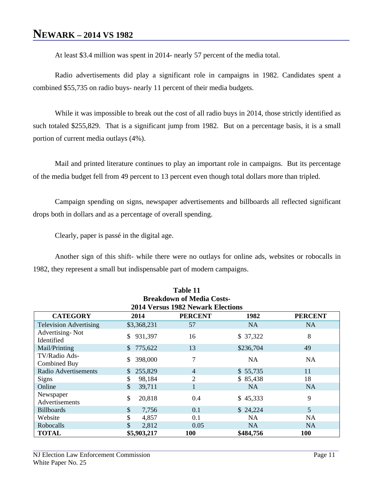# **NEWARK – 2014 VS 1982**

At least \$3.4 million was spent in 2014- nearly 57 percent of the media total.

Radio advertisements did play a significant role in campaigns in 1982. Candidates spent a combined \$55,735 on radio buys- nearly 11 percent of their media budgets.

While it was impossible to break out the cost of all radio buys in 2014, those strictly identified as such totaled \$255,829. That is a significant jump from 1982. But on a percentage basis, it is a small portion of current media outlays (4%).

Mail and printed literature continues to play an important role in campaigns. But its percentage of the media budget fell from 49 percent to 13 percent even though total dollars more than tripled.

Campaign spending on signs, newspaper advertisements and billboards all reflected significant drops both in dollars and as a percentage of overall spending.

Clearly, paper is passé in the digital age.

Another sign of this shift- while there were no outlays for online ads, websites or robocalls in 1982, they represent a small but indispensable part of modern campaigns.

| Table 11                                                            |                           |                                          |           |           |  |  |  |
|---------------------------------------------------------------------|---------------------------|------------------------------------------|-----------|-----------|--|--|--|
| <b>Breakdown of Media Costs-</b>                                    |                           |                                          |           |           |  |  |  |
|                                                                     |                           | <b>2014 Versus 1982 Newark Elections</b> |           |           |  |  |  |
| <b>CATEGORY</b><br>2014<br><b>PERCENT</b><br>1982<br><b>PERCENT</b> |                           |                                          |           |           |  |  |  |
| <b>Television Advertising</b>                                       | \$3,368,231               | 57                                       | <b>NA</b> | <b>NA</b> |  |  |  |
| Advertising-Not<br>Identified                                       | 931,397<br>\$             | 16                                       | \$37,322  | 8         |  |  |  |
| Mail/Printing                                                       | \$775,622                 | 13                                       | \$236,704 | 49        |  |  |  |
| TV/Radio Ads-<br>Combined Buy                                       | 398,000<br>\$.            | 7                                        | NA        | NA        |  |  |  |
| Radio Advertisements                                                | 255,829<br>$\mathbb{S}^-$ | $\overline{4}$                           | \$55,735  | 11        |  |  |  |
| <b>Signs</b>                                                        | 98,184<br>\$              | 2                                        | \$85,438  | 18        |  |  |  |
| Online                                                              | \$<br>39,711              |                                          | <b>NA</b> | <b>NA</b> |  |  |  |
| Newspaper<br>Advertisements                                         | \$<br>20,818              | 0.4                                      | \$45,333  | 9         |  |  |  |
| <b>Billboards</b>                                                   | \$<br>7,756               | 0.1                                      | \$24,224  | 5         |  |  |  |
| Website                                                             | 4,857                     | 0.1                                      | NA.       | NA        |  |  |  |
| Robocalls                                                           | 2,812                     | 0.05                                     | <b>NA</b> | <b>NA</b> |  |  |  |
| <b>TOTAL</b>                                                        | \$5,903,217               | <b>100</b>                               | \$484,756 | 100       |  |  |  |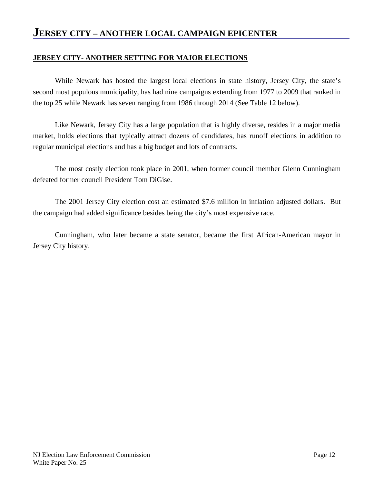### **JERSEY CITY – ANOTHER LOCAL CAMPAIGN EPICENTER**

### **JERSEY CITY- ANOTHER SETTING FOR MAJOR ELECTIONS**

While Newark has hosted the largest local elections in state history, Jersey City, the state's second most populous municipality, has had nine campaigns extending from 1977 to 2009 that ranked in the top 25 while Newark has seven ranging from 1986 through 2014 (See Table 12 below).

Like Newark, Jersey City has a large population that is highly diverse, resides in a major media market, holds elections that typically attract dozens of candidates, has runoff elections in addition to regular municipal elections and has a big budget and lots of contracts.

The most costly election took place in 2001, when former council member Glenn Cunningham defeated former council President Tom DiGise.

The 2001 Jersey City election cost an estimated \$7.6 million in inflation adjusted dollars. But the campaign had added significance besides being the city's most expensive race.

Cunningham, who later became a state senator, became the first African-American mayor in Jersey City history.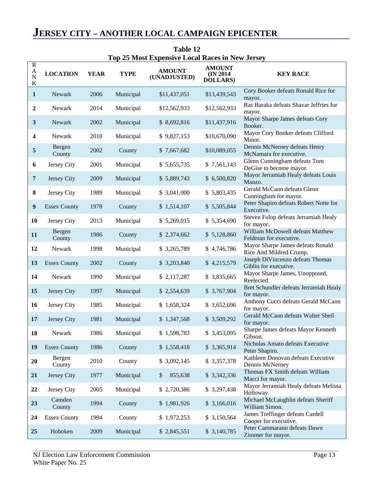|                                                                | <b>Top 25 Most Expensive Local Races in New Jersey</b> |             |             |                               |                                                |                                                              |  |  |  |
|----------------------------------------------------------------|--------------------------------------------------------|-------------|-------------|-------------------------------|------------------------------------------------|--------------------------------------------------------------|--|--|--|
| $\mathbf R$<br>$\boldsymbol{A}$<br>$\overline{N}$<br>${\bf K}$ | <b>LOCATION</b>                                        | <b>YEAR</b> | <b>TYPE</b> | <b>AMOUNT</b><br>(UNADJUSTED) | <b>AMOUNT</b><br>(IN 2014)<br><b>DOLLARS</b> ) | <b>KEY RACE</b>                                              |  |  |  |
| $\mathbf{1}$                                                   | Newark                                                 | 2006        | Municipal   | \$11,437,051                  | \$13,439,543                                   | Cory Booker defeats Ronald Rice for<br>mayor.                |  |  |  |
| $\boldsymbol{2}$                                               | Newark                                                 | 2014        | Municipal   | \$12,562,933                  | \$12,562,933                                   | Ras Baraka defeats Shavar Jeffries for<br>mayor.             |  |  |  |
| 3                                                              | Newark                                                 | 2002        | Municipal   | \$8,692,816                   | \$11,437,916                                   | Mayor Sharpe James defeats Cory<br>Booker.                   |  |  |  |
| $\overline{\mathbf{4}}$                                        | Newark                                                 | 2010        | Municipal   | \$9,827,153                   | \$10,670,090                                   | Mayor Cory Booker defeats Clifford<br>Minor.                 |  |  |  |
| 5                                                              | Bergen<br>County                                       | 2002        | County      | \$7,667,682                   | \$10,089,055                                   | Dennis McNerney defeats Henry<br>McNamara for executive.     |  |  |  |
| 6                                                              | Jersey City                                            | 2001        | Municipal   | \$5,655,735                   | \$7,561,143                                    | Glenn Cunningham defeats Tom<br>DeGise to become mayor.      |  |  |  |
| $\overline{7}$                                                 | Jersey City                                            | 2009        | Municipal   | \$5,889,743                   | \$6,500,820                                    | Mayor Jerramiah Healy defeats Louis<br>Manzo.                |  |  |  |
| ${\bf 8}$                                                      | Jersey City                                            | 1989        | Municipal   | \$ 3,041,000                  | \$5,803,435                                    | Gerald McCann defeats Glenn<br>Cunningham for mayor.         |  |  |  |
| $\boldsymbol{9}$                                               | <b>Essex County</b>                                    | 1978        | County      | \$1,514,107                   | \$5,505,844                                    | Peter Shapiro defeats Robert Notte for<br>Executive.         |  |  |  |
| 10                                                             | Jersey City                                            | 2013        | Municipal   | \$5,269,015                   | \$5,354,690                                    | Steven Fulop defeats Jerramiah Healy<br>for mayor.           |  |  |  |
| 11                                                             | Bergen<br>County                                       | 1986        | County      | \$2,374,662                   | \$5,128,860                                    | William McDowell defeats Matthew<br>Feldman for executive.   |  |  |  |
| 12                                                             | Newark                                                 | 1998        | Municipal   | \$3,265,789                   | \$4,746,786                                    | Mayor Sharpe James defeats Ronald<br>Rice And Mildred Crump. |  |  |  |
| 13                                                             | <b>Essex County</b>                                    | 2002        | County      | \$3,203,840                   | \$4,215,579                                    | Joseph DiVincenzo defeats Thomas<br>Giblin for executive.    |  |  |  |
| 14                                                             | Newark                                                 | 1990        | Municipal   | \$2,117,287                   | \$3,835,665                                    | Mayor Sharpe James, Unopposed,<br>Reelected.                 |  |  |  |
| 15                                                             | Jersey City                                            | 1997        | Municipal   | \$2,554,639                   | \$3,767,904                                    | Bret Schundler defeats Jerramiah Healy<br>for mayor.         |  |  |  |
| 16                                                             | Jersey City                                            | 1985        | Municipal   | \$1,658,324                   | \$ 3,652,696                                   | Anthony Cucci defeats Gerald McCann<br>for mayor.            |  |  |  |
| 17                                                             | Jersey City                                            | 1981        | Municipal   | \$1,347,568                   | \$3,509,292                                    | Gerald McCann defeats Walter Sheil<br>for mayor.             |  |  |  |
| 18                                                             | Newark                                                 | 1986        | Municipal   | \$1,598,783                   | \$3,453,095                                    | Sharpe James defeats Mayor Kenneth<br>Gibson.                |  |  |  |
| 19                                                             | <b>Essex County</b>                                    | 1986        | County      | \$1,558,418                   | \$3,365,914                                    | Nicholas Amato defeats Executive<br>Peter Shapiro.           |  |  |  |
| 20                                                             | Bergen<br>County                                       | 2010        | County      | \$ 3,092,145                  | \$3,357,378                                    | Kathleen Donovan defeats Executive<br>Dennis McNerney        |  |  |  |
| 21                                                             | Jersey City                                            | 1977        | Municipal   | \$<br>855,638                 | \$3,342,336                                    | Thomas FX Smith defeats William<br>Macci for mayor.          |  |  |  |
| 22                                                             | Jersey City                                            | 2005        | Municipal   | \$2,720,386                   | \$3,297,438                                    | Mayor Jerramiah Healy defeats Melissa<br>Holloway.           |  |  |  |
| 23                                                             | Camden<br>County                                       | 1994        | County      | \$1,981,926                   | \$3,166,016                                    | Michael McLaughlin defeats Sheriff<br>William Simon.         |  |  |  |
| 24                                                             | <b>Essex County</b>                                    | 1994        | County      | \$1,972,253                   | \$ 3,150,564                                   | James Treffinger defeats Cardell<br>Cooper for executive.    |  |  |  |
| 25                                                             | Hoboken                                                | 2009        | Municipal   | \$2,845,551                   | \$3,140,785                                    | Peter Cammarano defeats Dawn<br>Zimmer for mayor.            |  |  |  |

# **JERSEY CITY – ANOTHER LOCAL CAMPAIGN EPICENTER**

**Table 12**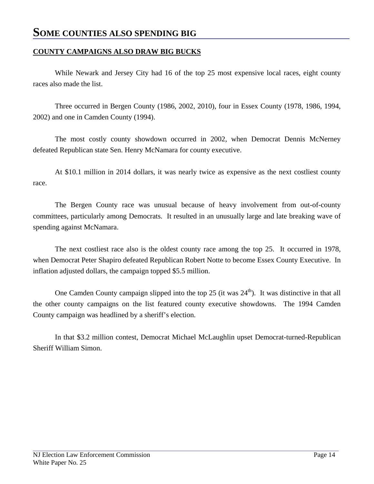## **SOME COUNTIES ALSO SPENDING BIG**

### **COUNTY CAMPAIGNS ALSO DRAW BIG BUCKS**

While Newark and Jersey City had 16 of the top 25 most expensive local races, eight county races also made the list.

Three occurred in Bergen County (1986, 2002, 2010), four in Essex County (1978, 1986, 1994, 2002) and one in Camden County (1994).

The most costly county showdown occurred in 2002, when Democrat Dennis McNerney defeated Republican state Sen. Henry McNamara for county executive.

At \$10.1 million in 2014 dollars, it was nearly twice as expensive as the next costliest county race.

The Bergen County race was unusual because of heavy involvement from out-of-county committees, particularly among Democrats. It resulted in an unusually large and late breaking wave of spending against McNamara.

The next costliest race also is the oldest county race among the top 25. It occurred in 1978, when Democrat Peter Shapiro defeated Republican Robert Notte to become Essex County Executive. In inflation adjusted dollars, the campaign topped \$5.5 million.

One Camden County campaign slipped into the top  $25$  (it was  $24<sup>th</sup>$ ). It was distinctive in that all the other county campaigns on the list featured county executive showdowns. The 1994 Camden County campaign was headlined by a sheriff's election.

In that \$3.2 million contest, Democrat Michael McLaughlin upset Democrat-turned-Republican Sheriff William Simon.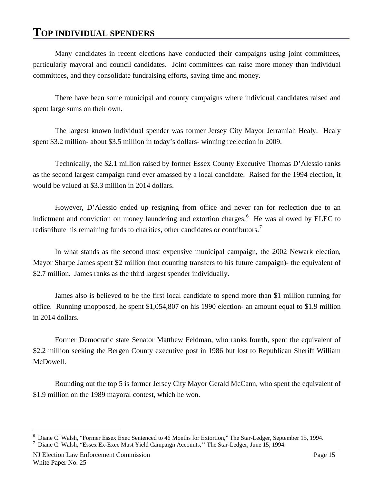# **TOP INDIVIDUAL SPENDERS**

Many candidates in recent elections have conducted their campaigns using joint committees, particularly mayoral and council candidates. Joint committees can raise more money than individual committees, and they consolidate fundraising efforts, saving time and money.

There have been some municipal and county campaigns where individual candidates raised and spent large sums on their own.

The largest known individual spender was former Jersey City Mayor Jerramiah Healy. Healy spent \$3.2 million- about \$3.5 million in today's dollars- winning reelection in 2009.

Technically, the \$2.1 million raised by former Essex County Executive Thomas D'Alessio ranks as the second largest campaign fund ever amassed by a local candidate. Raised for the 1994 election, it would be valued at \$3.3 million in 2014 dollars.

However, D'Alessio ended up resigning from office and never ran for reelection due to an indictment and conviction on money laundering and extortion charges.<sup>[6](#page-18-0)</sup> He was allowed by ELEC to redistribute his remaining funds to charities, other candidates or contributors.<sup>[7](#page-18-1)</sup>

In what stands as the second most expensive municipal campaign, the 2002 Newark election, Mayor Sharpe James spent \$2 million (not counting transfers to his future campaign)- the equivalent of \$2.7 million. James ranks as the third largest spender individually.

James also is believed to be the first local candidate to spend more than \$1 million running for office. Running unopposed, he spent \$1,054,807 on his 1990 election- an amount equal to \$1.9 million in 2014 dollars.

Former Democratic state Senator Matthew Feldman, who ranks fourth, spent the equivalent of \$2.2 million seeking the Bergen County executive post in 1986 but lost to Republican Sheriff William McDowell.

Rounding out the top 5 is former Jersey City Mayor Gerald McCann, who spent the equivalent of \$1.9 million on the 1989 mayoral contest, which he won.

<span id="page-18-0"></span> <sup>6</sup> Diane C. Walsh, "Former Essex Exec Sentenced to 46 Months for Extortion," The Star-Ledger, September 15, 1994. <sup>7</sup>

<span id="page-18-1"></span>Diane C. Walsh, "Essex Ex-Exec Must Yield Campaign Accounts,'' The Star-Ledger, June 15, 1994.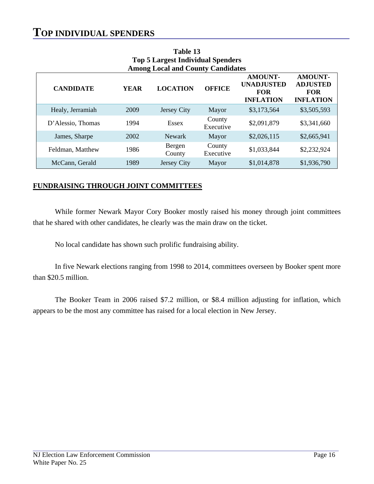# **TOP INDIVIDUAL SPENDERS**

| <b>Among Local and County Candidates</b> |             |                  |                     |                                                                       |                                                                     |  |  |
|------------------------------------------|-------------|------------------|---------------------|-----------------------------------------------------------------------|---------------------------------------------------------------------|--|--|
| <b>CANDIDATE</b>                         | <b>YEAR</b> | <b>LOCATION</b>  | <b>OFFICE</b>       | <b>AMOUNT-</b><br><b>UNADJUSTED</b><br><b>FOR</b><br><b>INFLATION</b> | <b>AMOUNT-</b><br><b>ADJUSTED</b><br><b>FOR</b><br><b>INFLATION</b> |  |  |
| Healy, Jerramiah                         | 2009        | Jersey City      | Mayor               | \$3,173,564                                                           | \$3,505,593                                                         |  |  |
| D'Alessio, Thomas                        | 1994        | <b>Essex</b>     | County<br>Executive | \$2,091,879                                                           | \$3,341,660                                                         |  |  |
| James, Sharpe                            | 2002        | Newark           | Mayor               | \$2,026,115                                                           | \$2,665,941                                                         |  |  |
| Feldman, Matthew                         | 1986        | Bergen<br>County | County<br>Executive | \$1,033,844                                                           | \$2,232,924                                                         |  |  |
| McCann, Gerald                           | 1989        | Jersey City      | Mayor               | \$1,014,878                                                           | \$1,936,790                                                         |  |  |

**Table 13 Top 5 Largest Individual Spenders Among Local and County Candidates**

### **FUNDRAISING THROUGH JOINT COMMITTEES**

While former Newark Mayor Cory Booker mostly raised his money through joint committees that he shared with other candidates, he clearly was the main draw on the ticket.

No local candidate has shown such prolific fundraising ability.

In five Newark elections ranging from 1998 to 2014, committees overseen by Booker spent more than \$20.5 million.

The Booker Team in 2006 raised \$7.2 million, or \$8.4 million adjusting for inflation, which appears to be the most any committee has raised for a local election in New Jersey.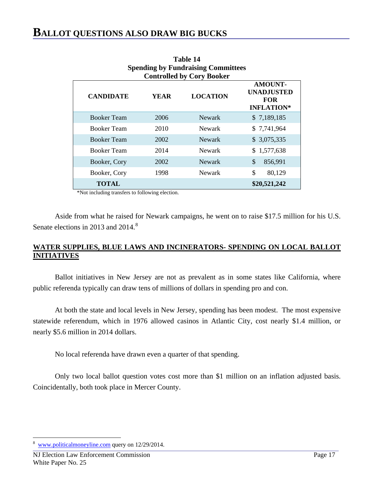| $\sim$ pending $\sim$ $\prime$ and disting commutes<br><b>Controlled by Cory Booker</b> |             |                 |                                                                        |  |  |
|-----------------------------------------------------------------------------------------|-------------|-----------------|------------------------------------------------------------------------|--|--|
| <b>CANDIDATE</b>                                                                        | <b>YEAR</b> | <b>LOCATION</b> | <b>AMOUNT-</b><br><b>UNADJUSTED</b><br><b>FOR</b><br><b>INFLATION*</b> |  |  |
| <b>Booker Team</b>                                                                      | 2006        | Newark          | \$7,189,185                                                            |  |  |
| <b>Booker Team</b>                                                                      | 2010        | Newark          | \$7,741,964                                                            |  |  |
| <b>Booker Team</b>                                                                      | 2002        | Newark          | \$3,075,335                                                            |  |  |
| <b>Booker Team</b>                                                                      | 2014        | Newark          | \$1,577,638                                                            |  |  |
| Booker, Cory                                                                            | 2002        | <b>Newark</b>   | \$<br>856,991                                                          |  |  |
| Booker, Cory                                                                            | 1998        | Newark          | \$<br>80,129                                                           |  |  |
| <b>TOTAL</b>                                                                            |             |                 | \$20,521,242                                                           |  |  |

**Table 14 Spending by Fundraising Committees**

\*Not including transfers to following election.

Aside from what he raised for Newark campaigns, he went on to raise \$17.5 million for his U.S. Senate elections in 2013 and 2014.<sup>[8](#page-20-0)</sup>

### **WATER SUPPLIES, BLUE LAWS AND INCINERATORS- SPENDING ON LOCAL BALLOT INITIATIVES**

Ballot initiatives in New Jersey are not as prevalent as in some states like California, where public referenda typically can draw tens of millions of dollars in spending pro and con.

At both the state and local levels in New Jersey, spending has been modest. The most expensive statewide referendum, which in 1976 allowed casinos in Atlantic City, cost nearly \$1.4 million, or nearly \$5.6 million in 2014 dollars.

No local referenda have drawn even a quarter of that spending.

Only two local ballot question votes cost more than \$1 million on an inflation adjusted basis. Coincidentally, both took place in Mercer County.

<span id="page-20-0"></span> <sup>8</sup> [www.politicalmoneyline.com](http://www.politicalmoneyline.com/) query on 12/29/2014.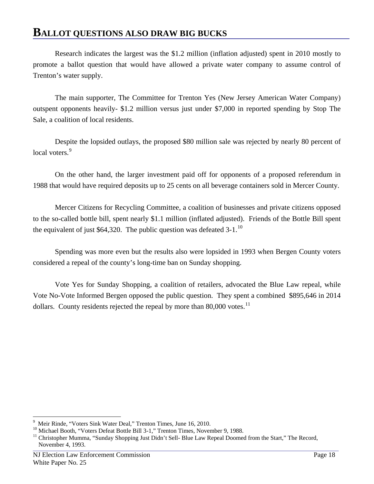# **BALLOT QUESTIONS ALSO DRAW BIG BUCKS**

Research indicates the largest was the \$1.2 million (inflation adjusted) spent in 2010 mostly to promote a ballot question that would have allowed a private water company to assume control of Trenton's water supply.

The main supporter, The Committee for Trenton Yes (New Jersey American Water Company) outspent opponents heavily- \$1.2 million versus just under \$7,000 in reported spending by Stop The Sale, a coalition of local residents.

Despite the lopsided outlays, the proposed \$80 million sale was rejected by nearly 80 percent of local voters.<sup>[9](#page-21-0)</sup>

On the other hand, the larger investment paid off for opponents of a proposed referendum in 1988 that would have required deposits up to 25 cents on all beverage containers sold in Mercer County.

Mercer Citizens for Recycling Committee, a coalition of businesses and private citizens opposed to the so-called bottle bill, spent nearly \$1.1 million (inflated adjusted). Friends of the Bottle Bill spent the equivalent of just \$64,320. The public question was defeated  $3-1$ .<sup>[10](#page-21-1)</sup>

Spending was more even but the results also were lopsided in 1993 when Bergen County voters considered a repeal of the county's long-time ban on Sunday shopping.

Vote Yes for Sunday Shopping, a coalition of retailers, advocated the Blue Law repeal, while Vote No-Vote Informed Bergen opposed the public question. They spent a combined \$895,646 in 2014 dollars. County residents rejected the repeal by more than  $80,000$  votes.<sup>[11](#page-21-2)</sup>

<sup>-&</sup>lt;br>9

<span id="page-21-2"></span>

<span id="page-21-1"></span><span id="page-21-0"></span><sup>&</sup>lt;sup>9</sup> Meir Rinde, "Voters Sink Water Deal," Trenton Times, June 16, 2010.<br><sup>10</sup> Michael Booth, "Voters Defeat Bottle Bill 3-1," Trenton Times, November 9, 1988.<br><sup>11</sup> Christopher Mumma, "Sunday Shopping Just Didn't Sell- Blue November 4, 1993.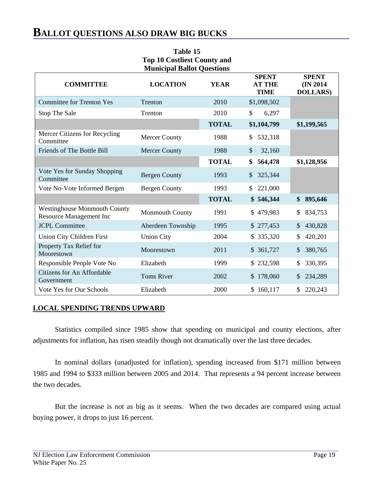# **BALLOT QUESTIONS ALSO DRAW BIG BUCKS**

| <b>Top 10 Costliest County and</b><br><b>Municipal Ballot Questions</b> |                        |              |                                              |                                               |  |  |
|-------------------------------------------------------------------------|------------------------|--------------|----------------------------------------------|-----------------------------------------------|--|--|
| <b>COMMITTEE</b>                                                        | <b>LOCATION</b>        | <b>YEAR</b>  | <b>SPENT</b><br><b>AT THE</b><br><b>TIME</b> | <b>SPENT</b><br>(IN 2014)<br><b>DOLLARS</b> ) |  |  |
| <b>Committee for Trenton Yes</b>                                        | Trenton                | 2010         | \$1,098,502                                  |                                               |  |  |
| Stop The Sale                                                           | Trenton                | 2010         | \$<br>6,297                                  |                                               |  |  |
|                                                                         |                        | <b>TOTAL</b> | \$1,104,799                                  | \$1,199,565                                   |  |  |
| Mercer Citizens for Recycling<br>Committee                              | <b>Mercer County</b>   | 1988         | 532,318<br>\$                                |                                               |  |  |
| Friends of The Bottle Bill                                              | <b>Mercer County</b>   | 1988         | 32,160<br>\$                                 |                                               |  |  |
|                                                                         |                        | <b>TOTAL</b> | 564,478<br>\$                                | \$1,128,956                                   |  |  |
| Vote Yes for Sunday Shopping<br>Committee                               | <b>Bergen County</b>   | 1993         | 325,344<br>$\mathbb{S}$                      |                                               |  |  |
| Vote No-Vote Informed Bergen                                            | <b>Bergen County</b>   | 1993         | 221,000<br>\$                                |                                               |  |  |
|                                                                         |                        | <b>TOTAL</b> | \$546,344                                    | \$<br>895,646                                 |  |  |
| <b>Westinghouse Monmouth County</b><br><b>Resource Management Inc</b>   | <b>Monmouth County</b> | 1991         | \$479,983                                    | 834,753<br>\$                                 |  |  |
| <b>JCPL Committee</b>                                                   | Aberdeen Township      | 1995         | \$277,453                                    | 430,828<br>\$                                 |  |  |
| <b>Union City Children First</b>                                        | <b>Union City</b>      | 2004         | \$335,320                                    | \$<br>420,201                                 |  |  |
| Property Tax Relief for<br>Moorestown                                   | Moorestown             | 2011         | \$361,727                                    | \$<br>380,765                                 |  |  |
| Responsible People Vote No                                              | Elizabeth              | 1999         | \$232,598                                    | 330,395                                       |  |  |
| <b>Citizens for An Affordable</b><br>Government                         | <b>Toms River</b>      | 2002         | \$178,060                                    | 234,289<br>\$                                 |  |  |
| Vote Yes for Our Schools                                                | Elizabeth              | 2000         | \$160,117                                    | 220,243<br>\$                                 |  |  |

**Table 15**

### **LOCAL SPENDING TRENDS UPWARD**

Statistics compiled since 1985 show that spending on municipal and county elections, after adjustments for inflation, has risen steadily though not dramatically over the last three decades.

In nominal dollars (unadjusted for inflation), spending increased from \$171 million between 1985 and 1994 to \$333 million between 2005 and 2014. That represents a 94 percent increase between the two decades.

But the increase is not as big as it seems. When the two decades are compared using actual buying power, it drops to just 16 percent.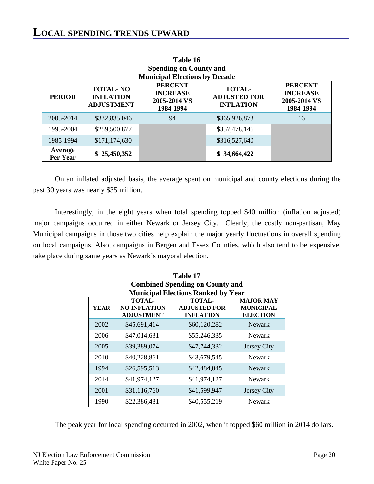| 1 400 L V<br><b>Spending on County and</b> |                                                          |                                                                |                                                                |    |  |
|--------------------------------------------|----------------------------------------------------------|----------------------------------------------------------------|----------------------------------------------------------------|----|--|
|                                            |                                                          | <b>Municipal Elections by Decade</b>                           |                                                                |    |  |
| <b>PERIOD</b>                              | <b>TOTAL-NO</b><br><b>INFLATION</b><br><b>ADJUSTMENT</b> | <b>PERCENT</b><br><b>INCREASE</b><br>2005-2014 VS<br>1984-1994 | <b>PERCENT</b><br><b>INCREASE</b><br>2005-2014 VS<br>1984-1994 |    |  |
| 2005-2014                                  | \$332,835,046                                            | 94                                                             | \$365,926,873                                                  | 16 |  |
| 1995-2004                                  | \$259,500,877                                            |                                                                | \$357,478,146                                                  |    |  |
| 1985-1994                                  | \$171,174,630                                            |                                                                | \$316,527,640                                                  |    |  |
| Average<br>Per Year                        | \$25,450,352                                             |                                                                | \$34,664,422                                                   |    |  |

| Table 16                             |
|--------------------------------------|
| <b>Spending on County and</b>        |
| <b>Municipal Elections by Decade</b> |

On an inflated adjusted basis, the average spent on municipal and county elections during the past 30 years was nearly \$35 million.

Interestingly, in the eight years when total spending topped \$40 million (inflation adjusted) major campaigns occurred in either Newark or Jersey City. Clearly, the costly non-partisan, May Municipal campaigns in those two cities help explain the major yearly fluctuations in overall spending on local campaigns. Also, campaigns in Bergen and Essex Counties, which also tend to be expensive, take place during same years as Newark's mayoral election.

| Table 17                                                                                                                                                                          |                                        |                                           |             |  |  |  |  |
|-----------------------------------------------------------------------------------------------------------------------------------------------------------------------------------|----------------------------------------|-------------------------------------------|-------------|--|--|--|--|
|                                                                                                                                                                                   | <b>Combined Spending on County and</b> |                                           |             |  |  |  |  |
|                                                                                                                                                                                   |                                        | <b>Municipal Elections Ranked by Year</b> |             |  |  |  |  |
| TOTAL-<br><b>MAJOR MAY</b><br><b>TOTAL-</b><br>YEAR<br><b>NO INFLATION</b><br><b>ADJUSTED FOR</b><br><b>MUNICIPAL</b><br><b>ELECTION</b><br><b>ADJUSTMENT</b><br><b>INFLATION</b> |                                        |                                           |             |  |  |  |  |
| 2002                                                                                                                                                                              | \$45,691,414                           | \$60,120,282                              | Newark      |  |  |  |  |
| 2006                                                                                                                                                                              | \$47,014,631                           | \$55,246,335                              | Newark      |  |  |  |  |
| 2005                                                                                                                                                                              | \$39,389,074                           | \$47,744,332                              | Jersey City |  |  |  |  |
| 2010                                                                                                                                                                              | \$40,228,861                           | \$43,679,545                              | Newark      |  |  |  |  |
| 1994                                                                                                                                                                              | \$26,595,513                           | \$42,484,845                              | Newark      |  |  |  |  |
| 2014                                                                                                                                                                              | \$41,974,127                           | \$41,974,127                              | Newark      |  |  |  |  |
| 2001                                                                                                                                                                              | \$31,116,760                           | \$41,599,947                              | Jersey City |  |  |  |  |
| 1990                                                                                                                                                                              | \$22,386,481                           | \$40,555,219                              | Newark      |  |  |  |  |

The peak year for local spending occurred in 2002, when it topped \$60 million in 2014 dollars.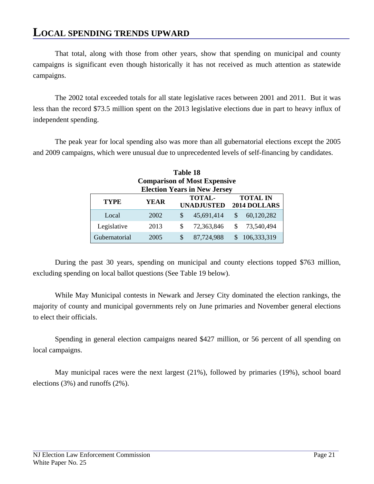# **LOCAL SPENDING TRENDS UPWARD**

That total, along with those from other years, show that spending on municipal and county campaigns is significant even though historically it has not received as much attention as statewide campaigns.

The 2002 total exceeded totals for all state legislative races between 2001 and 2011. But it was less than the record \$73.5 million spent on the 2013 legislative elections due in part to heavy influx of independent spending.

The peak year for local spending also was more than all gubernatorial elections except the 2005 and 2009 campaigns, which were unusual due to unprecedented levels of self-financing by candidates.

| <b>Table 18</b>                                                                                     |      |               |                                     |    |             |  |
|-----------------------------------------------------------------------------------------------------|------|---------------|-------------------------------------|----|-------------|--|
| <b>Comparison of Most Expensive</b>                                                                 |      |               |                                     |    |             |  |
|                                                                                                     |      |               | <b>Election Years in New Jersey</b> |    |             |  |
| <b>TOTAL-</b><br><b>TOTAL IN</b><br><b>TYPE</b><br><b>YEAR</b><br><b>UNADJUSTED</b><br>2014 DOLLARS |      |               |                                     |    |             |  |
|                                                                                                     |      |               |                                     |    |             |  |
| Local                                                                                               | 2002 | <sup>\$</sup> | 45,691,414                          | \$ | 60,120,282  |  |
| Legislative                                                                                         | 2013 | S             | 72,363,846                          | S  | 73,540,494  |  |
| Gubernatorial                                                                                       | 2005 | S             | 87,724,988                          |    | 106,333,319 |  |

During the past 30 years, spending on municipal and county elections topped \$763 million, excluding spending on local ballot questions (See Table 19 below).

While May Municipal contests in Newark and Jersey City dominated the election rankings, the majority of county and municipal governments rely on June primaries and November general elections to elect their officials.

Spending in general election campaigns neared \$427 million, or 56 percent of all spending on local campaigns.

May municipal races were the next largest (21%), followed by primaries (19%), school board elections (3%) and runoffs (2%).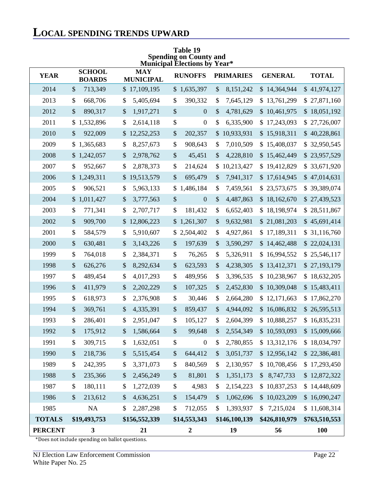# **LOCAL SPENDING TRENDS UPWARD**

| <b>Municipal Elections by Year*</b> |                                      |                                |                        |                                        |                             |               |
|-------------------------------------|--------------------------------------|--------------------------------|------------------------|----------------------------------------|-----------------------------|---------------|
| <b>YEAR</b>                         | <b>SCHOOL</b><br><b>BOARDS</b>       | <b>MAY</b><br><b>MUNICIPAL</b> | <b>RUNOFFS</b>         | <b>PRIMARIES</b>                       | <b>GENERAL</b>              | <b>TOTAL</b>  |
| 2014                                | \$<br>713,349                        | \$17,109,195                   | \$1,635,397            | $\boldsymbol{\mathsf{S}}$<br>8,151,242 | \$14,364,944                | \$41,974,127  |
| 2013                                | \$<br>668,706                        | \$<br>5,405,694                | \$<br>390,332          | \$<br>7,645,129                        | \$13,761,299                | \$27,871,160  |
| 2012                                | \$<br>890,317                        | \$<br>1,917,271                | \$<br>$\boldsymbol{0}$ | \$<br>4,781,629                        | \$10,461,975                | \$18,051,192  |
| 2011                                | 1,532,896<br>\$                      | \$<br>2,614,118                | \$<br>$\boldsymbol{0}$ | \$<br>6,335,900                        | \$17,243,093                | \$27,726,007  |
| 2010                                | \$<br>922,009                        | 12,252,253<br>\$               | \$<br>202,357          | \$10,933,931                           | \$15,918,311                | \$40,228,861  |
| 2009                                | \$1,365,683                          | \$<br>8,257,673                | \$<br>908,643          | \$<br>7,010,509                        | \$15,408,037                | \$32,950,545  |
| 2008                                | \$1,242,057                          | \$<br>2,978,762                | \$<br>45,451           | \$<br>4,228,810                        | \$15,462,449                | \$23,957,529  |
| 2007                                | \$<br>952,667                        | \$<br>2,878,373                | \$<br>214,624          | 10,213,427<br>\$                       | \$19,412,829                | \$33,671,920  |
| 2006                                | \$1,249,311                          | \$19,513,579                   | \$<br>695,479          | \$<br>7,941,317                        | \$17,614,945                | \$47,014,631  |
| 2005                                | \$<br>906,521                        | \$<br>5,963,133                | 1,486,184<br>\$        | \$<br>7,459,561                        | \$23,573,675                | \$39,389,074  |
| 2004                                | \$1,011,427                          | \$<br>3,777,563                | \$<br>$\boldsymbol{0}$ | \$<br>4,487,863                        | \$18,162,670                | \$27,439,523  |
| 2003                                | \$<br>771,341                        | \$<br>2,707,717                | \$<br>181,432          | \$<br>6,652,403                        | \$18,198,974                | \$28,511,867  |
| 2002                                | \$<br>909,700                        | 12,806,223<br>\$               | \$1,261,307            | \$<br>9,632,981                        | \$21,081,203                | \$45,691,414  |
| 2001                                | \$<br>584,579                        | \$<br>5,910,607                | \$2,504,402            | \$<br>4,927,861                        | \$17,189,311                | \$31,116,760  |
| 2000                                | $\$$<br>630,481                      | \$<br>3,143,226                | \$<br>197,639          | \$<br>3,590,297                        | \$14,462,488                | \$22,024,131  |
| 1999                                | \$<br>764,018                        | \$<br>2,384,371                | \$<br>76,265           | \$<br>5,326,911                        | \$16,994,552                | \$25,546,117  |
| 1998                                | $\$$<br>626,276                      | \$<br>8,292,634                | \$<br>623,593          | \$<br>4,238,305                        | \$13,412,371                | \$27,193,179  |
| 1997                                | \$<br>489,454                        | \$<br>4,017,293                | \$<br>489,956          | \$<br>3,396,535                        | \$10,238,967                | \$18,632,205  |
| 1996                                | $\$$<br>411,979                      | \$<br>2,202,229                | \$<br>107,325          | \$<br>2,452,830                        | \$10,309,048                | \$15,483,411  |
| 1995                                | \$<br>618,973                        | \$<br>2,376,908                | \$<br>30,446           | \$<br>2,664,280                        | \$12,171,663                | \$17,862,270  |
| 1994                                | $\$$<br>369,761                      | \$<br>4,335,391                | \$<br>859,437          | \$<br>4,944,092                        | \$16,086,832                | \$26,595,513  |
| 1993                                | \$<br>286,401                        | \$<br>2,951,047                | \$<br>105,127          | \$<br>2,604,399                        | \$10,888,257                | \$16,835,231  |
| 1992                                | \$<br>175,912                        | \$<br>1,586,664                | \$<br>99,648           | \$<br>2,554,349                        | \$10,593,093                | \$15,009,666  |
| 1991                                | \$<br>309,715                        | 1,632,051<br>\$                | \$<br>$\boldsymbol{0}$ | \$<br>2,780,855                        | \$13,312,176                | \$18,034,797  |
| 1990                                | $\$$<br>218,736                      | $\$$<br>5,515,454              | $\$$<br>644,412        | $\$\$<br>3,051,737                     | \$12,956,142                | \$22,386,481  |
| 1989                                | \$<br>242,395                        | \$<br>3,371,073                | \$<br>840,569          | \$<br>2,130,957                        | \$10,708,456                | \$17,293,450  |
| 1988                                | $\$$<br>235,366                      | \$<br>2,456,249                | \$<br>81,801           | 1,351,173<br>\$                        | \$8,747,733                 | \$12,872,322  |
| 1987                                | \$<br>180,111                        | \$<br>1,272,039                | \$<br>4,983            | \$<br>2,154,223                        | \$10,837,253                | \$14,448,609  |
| 1986                                | $\boldsymbol{\mathsf{S}}$<br>213,612 | \$<br>4,636,251                | $\$$<br>154,479        | 1,062,696<br>$\$\$                     | \$10,023,209                | \$16,090,247  |
| 1985                                | NA                                   | \$<br>2,287,298                | \$<br>712,055          | \$<br>1,393,937                        | 7,215,024<br>$\mathbb{S}^-$ | \$11,608,314  |
| <b>TOTALS</b>                       | \$19,493,753                         | \$156,552,339                  | \$14,553,343           | \$146,100,139                          | \$426,810,979               | \$763,510,553 |
| <b>PERCENT</b>                      | 3                                    | 21                             | $\boldsymbol{2}$       | 19                                     | 56                          | <b>100</b>    |

**Table 19 Spending on County and**

\*Does not include spending on ballot questions.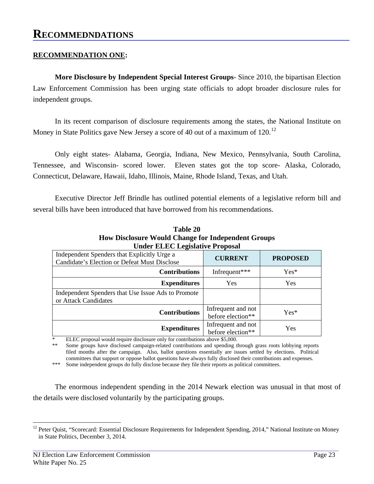### **RECOMMENDATION ONE:**

**More Disclosure by Independent Special Interest Groups**- Since 2010, the bipartisan Election Law Enforcement Commission has been urging state officials to adopt broader disclosure rules for independent groups.

In its recent comparison of disclosure requirements among the states, the National Institute on Money in State Politics gave New Jersey a score of 40 out of a maximum of [12](#page-26-0)0.<sup>12</sup>

Only eight states- Alabama, Georgia, Indiana, New Mexico, Pennsylvania, South Carolina, Tennessee, and Wisconsin- scored lower. Eleven states got the top score- Alaska, Colorado, Connecticut, Delaware, Hawaii, Idaho, Illinois, Maine, Rhode Island, Texas, and Utah.

Executive Director Jeff Brindle has outlined potential elements of a legislative reform bill and several bills have been introduced that have borrowed from his recommendations.

| <b>Table 20</b>                                           |
|-----------------------------------------------------------|
| <b>How Disclosure Would Change for Independent Groups</b> |
| <b>Under ELEC Legislative Proposal</b>                    |

| Independent Spenders that Explicitly Urge a        | <b>CURRENT</b>     | <b>PROPOSED</b> |  |
|----------------------------------------------------|--------------------|-----------------|--|
| Candidate's Election or Defeat Must Disclose       |                    |                 |  |
| <b>Contributions</b>                               | Infrequent***      | $Yes*$          |  |
| <b>Expenditures</b>                                | Yes                | Yes             |  |
| Independent Spenders that Use Issue Ads to Promote |                    |                 |  |
| or Attack Candidates                               |                    |                 |  |
| <b>Contributions</b>                               | Infrequent and not | $Yes*$          |  |
|                                                    | before election**  |                 |  |
|                                                    | Infrequent and not | Yes             |  |
| <b>Expenditures</b>                                | before election**  |                 |  |

\* ELEC proposal would require disclosure only for contributions above \$5,000.

Some groups have disclosed campaign-related contributions and spending through grass roots lobbying reports filed months after the campaign. Also, ballot questions essentially are issues settled by elections. Political committees that support or oppose ballot questions have always fully disclosed their contributions and expenses.

\*\*\* Some independent groups do fully disclose because they file their reports as political committees.

The enormous independent spending in the 2014 Newark election was unusual in that most of the details were disclosed voluntarily by the participating groups.

<span id="page-26-0"></span><sup>&</sup>lt;sup>12</sup> Peter Quist, "Scorecard: Essential Disclosure Requirements for Independent Spending, 2014," National Institute on Money in State Politics, December 3, 2014.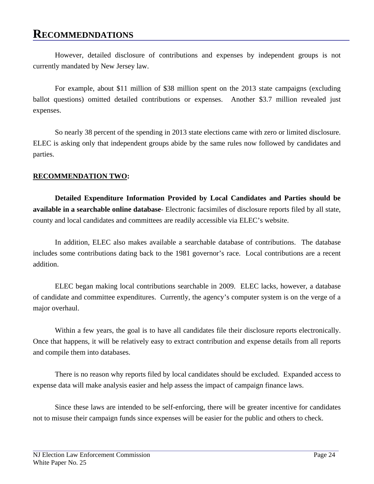### **RECOMMEDNDATIONS**

However, detailed disclosure of contributions and expenses by independent groups is not currently mandated by New Jersey law.

For example, about \$11 million of \$38 million spent on the 2013 state campaigns (excluding ballot questions) omitted detailed contributions or expenses. Another \$3.7 million revealed just expenses.

So nearly 38 percent of the spending in 2013 state elections came with zero or limited disclosure. ELEC is asking only that independent groups abide by the same rules now followed by candidates and parties.

### **RECOMMENDATION TWO:**

**Detailed Expenditure Information Provided by Local Candidates and Parties should be available in a searchable online database**- Electronic facsimiles of disclosure reports filed by all state, county and local candidates and committees are readily accessible via ELEC's website.

In addition, ELEC also makes available a searchable database of contributions. The database includes some contributions dating back to the 1981 governor's race. Local contributions are a recent addition.

ELEC began making local contributions searchable in 2009. ELEC lacks, however, a database of candidate and committee expenditures. Currently, the agency's computer system is on the verge of a major overhaul.

Within a few years, the goal is to have all candidates file their disclosure reports electronically. Once that happens, it will be relatively easy to extract contribution and expense details from all reports and compile them into databases.

There is no reason why reports filed by local candidates should be excluded. Expanded access to expense data will make analysis easier and help assess the impact of campaign finance laws.

Since these laws are intended to be self-enforcing, there will be greater incentive for candidates not to misuse their campaign funds since expenses will be easier for the public and others to check.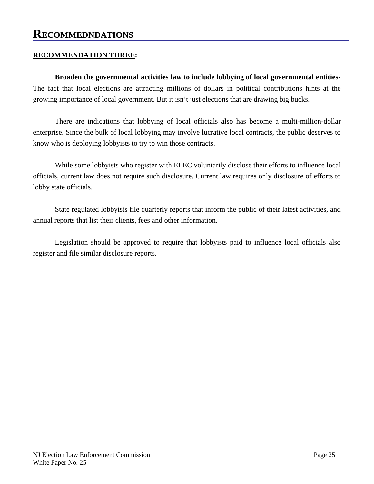### **RECOMMEDNDATIONS**

### **RECOMMENDATION THREE:**

**Broaden the governmental activities law to include lobbying of local governmental entities-**The fact that local elections are attracting millions of dollars in political contributions hints at the growing importance of local government. But it isn't just elections that are drawing big bucks.

There are indications that lobbying of local officials also has become a multi-million-dollar enterprise. Since the bulk of local lobbying may involve lucrative local contracts, the public deserves to know who is deploying lobbyists to try to win those contracts.

While some lobbyists who register with ELEC voluntarily disclose their efforts to influence local officials, current law does not require such disclosure. Current law requires only disclosure of efforts to lobby state officials.

State regulated lobbyists file quarterly reports that inform the public of their latest activities, and annual reports that list their clients, fees and other information.

Legislation should be approved to require that lobbyists paid to influence local officials also register and file similar disclosure reports.